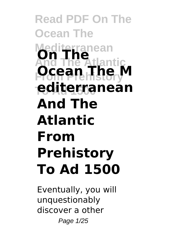### **Read PDF On The Ocean The Mediterranean And The Atlantic From Prehistory Ocean The M To Ad 1500 editerranean On The And The Atlantic From Prehistory To Ad 1500**

Eventually, you will unquestionably discover a other Page 1/25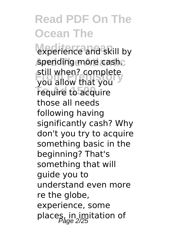experience and skill by spending more cash. **From Prehistory**<br>Still allow that you **Tequire to acquire** you allow that you those all needs following having significantly cash? Why don't you try to acquire something basic in the beginning? That's something that will guide you to understand even more re the globe, experience, some places, in imitation of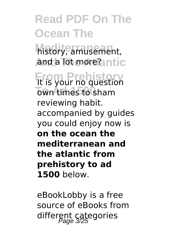**Mediterranean** history, amusement, **And a lot more?antic** 

**From Prehistory** It is your no question **To Ad 1500** own times to sham reviewing habit. accompanied by guides you could enjoy now is **on the ocean the mediterranean and the atlantic from prehistory to ad 1500** below.

eBookLobby is a free source of eBooks from different categories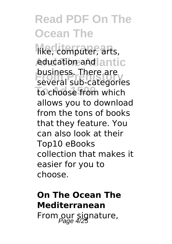like, computer, arts, education and antic **business.** There are<br>several sub-categories to choose from which business. There are allows you to download from the tons of books that they feature. You can also look at their Top10 eBooks collection that makes it easier for you to choose.

### **On The Ocean The Mediterranean** From our signature,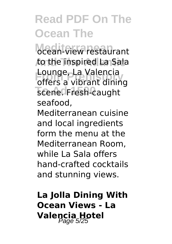**Mediterranean** ocean-view restaurant **And The Atlantic** to the inspired La Sala **From Prehistory** offers a vibrant dining scene. Fresh-caught Lounge, La Valencia seafood,

Mediterranean cuisine and local ingredients form the menu at the Mediterranean Room, while La Sala offers hand-crafted cocktails and stunning views.

**La Jolla Dining With Ocean Views - La** Valencia Hotel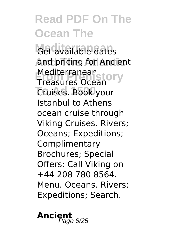Get available dates **And pricing for Ancient** Mediterranean<br>Treasures Ocean<sup>ory</sup> **To Ad 1500** Cruises. Book your Treasures Ocean Istanbul to Athens ocean cruise through Viking Cruises. Rivers; Oceans; Expeditions; **Complimentary** Brochures; Special Offers; Call Viking on +44 208 780 8564. Menu. Oceans. Rivers; Expeditions; Search.

Ancient<br>Page 6/25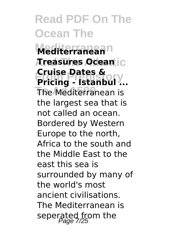**Mediterranean Mediterranean And The Atlantic Treasures Ocean France Dates & Stranding - Istanbul ... The Mediterranean is Cruise Dates &** the largest sea that is not called an ocean. Bordered by Western Europe to the north, Africa to the south and the Middle East to the east this sea is surrounded by many of the world's most ancient civilisations. The Mediterranean is seperated from the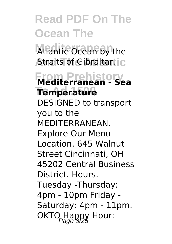Atlantic Ocean by the **Atraits of Gibraltar.** C

**From Prehistory Mediterranean - Sea To Ad 1500 Temperature** DESIGNED to transport you to the MEDITERRANEAN. Explore Our Menu Location. 645 Walnut Street Cincinnati, OH 45202 Central Business District. Hours. Tuesday -Thursday: 4pm - 10pm Friday - Saturday: 4pm - 11pm. OKTO Happy Hour: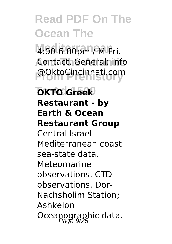**Mediterranean** 4:00-6:00pm / M-Fri. **And The Atlantic** Contact. General: info **From Prehistory** @OktoCincinnati.com

#### **OKTO Greek Restaurant - by Earth & Ocean Restaurant Group** Central Israeli Mediterranean coast sea-state data. Meteomarine observations. CTD observations. Dor-Nachsholim Station; Ashkelon Oceanographic data.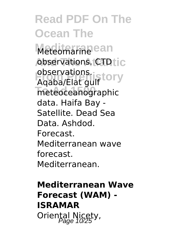**Read PDF On The Ocean The** Meteomarine ean **observations. CTD**tic observations.<br>Agaba/Flat.quif.cory **To Ad 1500** meteoceanographic Aqaba/Elat gulf data. Haifa Bay - Satellite. Dead Sea Data. Ashdod. **Forecast** Mediterranean wave forecast. Mediterranean.

**Mediterranean Wave Forecast (WAM) - ISRAMAR** Oriental Nicety,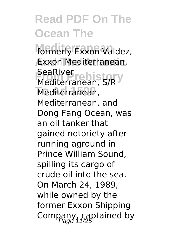formerly Exxon Valdez, **And The Atlantic** Exxon Mediterranean, **France Prehistory**<br>Mediterranean SCD Y Mediterranean, Mediterranean, S/R Mediterranean, and Dong Fang Ocean, was an oil tanker that gained notoriety after running aground in Prince William Sound, spilling its cargo of crude oil into the sea. On March 24, 1989, while owned by the former Exxon Shipping Company, captained by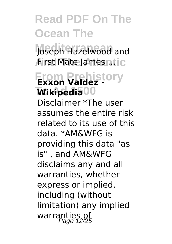Joseph Hazelwood and *Airst Mate James ntic* 

### **From Prehistory Exxon Valdez -**  $\overline{\text{W}}$ ikipedia<sup>00</sup>

Disclaimer \*The user assumes the entire risk related to its use of this data. \*AM&WFG is providing this data "as is" , and AM&WFG disclaims any and all warranties, whether express or implied, including (without limitation) any implied warranties of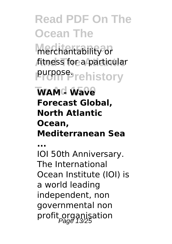merchantability or fitness for a particular **From Prehistory** purpose.

#### **To Ad 1500 WAM - Wave Forecast Global, North Atlantic Ocean, Mediterranean Sea**

**...**

IOI 50th Anniversary. The International Ocean Institute (IOI) is a world leading independent, non governmental non profit organisation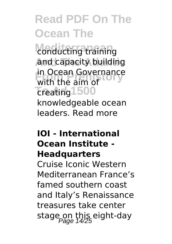conducting training and capacity building **From Prehistory** with the aim of Treating<sup>1500</sup> in Ocean Governance knowledgeable ocean leaders. Read more

#### **IOI - International Ocean Institute - Headquarters**

Cruise Iconic Western Mediterranean France's famed southern coast and Italy's Renaissance treasures take center stage on this eight-day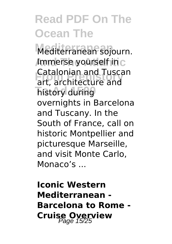**Mediterranean** Mediterranean sojourn. **Immerse yourself in** c **From Prehistory** art, architecture and **Thistory during** Catalonian and Tuscan overnights in Barcelona and Tuscany. In the South of France, call on historic Montpellier and picturesque Marseille, and visit Monte Carlo, Monaco's ...

**Iconic Western Mediterranean - Barcelona to Rome - Cruise Overview**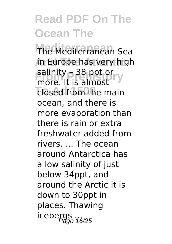**Mediterranean** The Mediterranean Sea **And The Atlantic** in Europe has very high salinity – 38 ppt or<br>more it is almost **To add from the main** more. It is almost ocean, and there is more evaporation than there is rain or extra freshwater added from rivers. ... The ocean around Antarctica has a low salinity of just below 34ppt, and around the Arctic it is down to 30ppt in places. Thawing r<br>icebergs<br>Page 16/25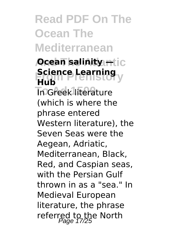### **Read PDF On The Ocean The Mediterranean**

#### *<u>Ocean salinity —Lic</u>* **Science Learning**<br>**Print In Greek literature Hub** (which is where the phrase entered Western literature), the Seven Seas were the Aegean, Adriatic, Mediterranean, Black, Red, and Caspian seas, with the Persian Gulf thrown in as a "sea." In Medieval European literature, the phrase referred to the North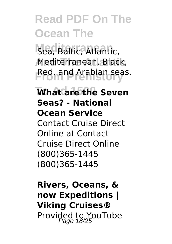Sea, Baltic, Atlantic, **And The Atlantic** Mediterranean, Black, **From Prehistory** Red, and Arabian seas.

**What are the Seven Seas? - National Ocean Service** Contact Cruise Direct Online at Contact Cruise Direct Online (800)365-1445 (800)365-1445

**Rivers, Oceans, & now Expeditions | Viking Cruises®** Provided to YouTube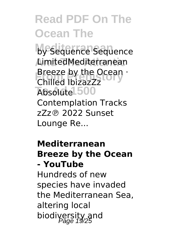by Sequence Sequence AimitedMediterranean **Breeze by the Ocean ·**<br>Chilled Ibizazzz **Absolute** 500 Chilled IbizazZz Contemplation Tracks zZz℗ 2022 Sunset Lounge Re...

#### **Mediterranean Breeze by the Ocean - YouTube**

Hundreds of new species have invaded the Mediterranean Sea, altering local biodiversity and<br>Page 19/25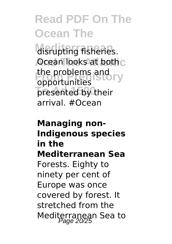disrupting fisheries. **Ocean looks at both** C **From Prehistory** opportunities presented by their the problems and arrival. #Ocean

#### **Managing non-Indigenous species in the Mediterranean Sea** Forests. Eighty to ninety per cent of Europe was once covered by forest. It stretched from the Mediterranean Sea to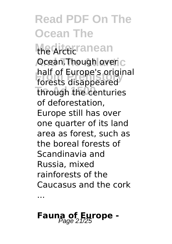### **Read PDF On The Ocean The** the **Arcticranean Ocean.Though over** C **From Prehistory** forests disappeared **Through the centuries** half of Europe's original of deforestation, Europe still has over one quarter of its land area as forest, such as the boreal forests of Scandinavia and Russia, mixed rainforests of the Caucasus and the cork

### **Fauna of Europe -**

...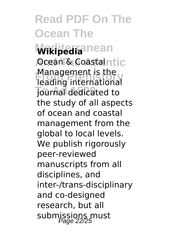**Wikipedia**nean **Ocean & Coastalntic From Prehistory** leading international **Journal dedicated to** Management is the the study of all aspects of ocean and coastal management from the global to local levels. We publish rigorously peer-reviewed manuscripts from all disciplines, and inter-/trans-disciplinary and co-designed research, but all submissions must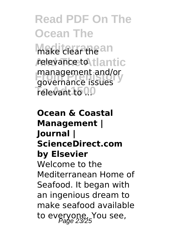**Read PDF On The Ocean The Make clear the an** 

relevance to tlantic **From Prehistory** governance issues Televant to 0.0 management and/or

**Ocean & Coastal Management | Journal | ScienceDirect.com by Elsevier** Welcome to the Mediterranean Home of Seafood. It began with an ingenious dream to make seafood available to everyone. You see,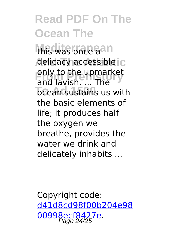this was once aan delicacy accessible c only to the upmarket<br>and lavish. ... The **To Cean sustains us with** only to the upmarket the basic elements of life; it produces half the oxygen we breathe, provides the water we drink and delicately inhabits ...

Copyright code: [d41d8cd98f00b204e98](/sitemap.xml) [00998ecf8427e.](/sitemap.xml) Page 24/25